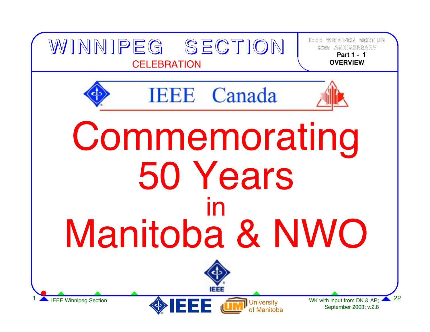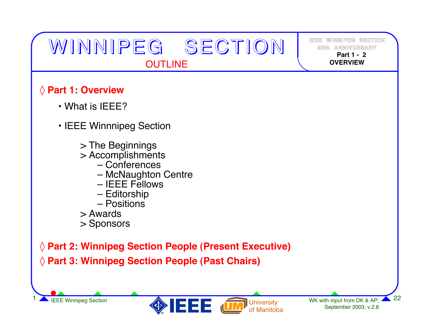# WINNIPEG SECTION OUTLINE

**IEEE WINNIPEG SECTION50th ANNIVERSARY Part 1 -2OVERVIEW**

#### ◊ **Part 1: Overview**

- What is IEEE?
- IEEE Winnnipeg Section
	- > The Beginnings
	- > Accomplishments
		- Conferences
		- McNaughton Centre
		- IEEE Fellows
		- Editorship
		- Positions
	- > Awards
	- > Sponsors

◊ **Part 2: Winnipeg Section People (Present Executive)** ◊ **Part 3: Winnipeg Section People (Past Chairs)**

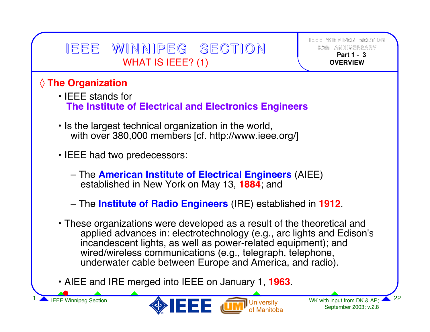# IEEE WINNIPEG SECTION WHAT IS IEEE? (1)

**IEEE WINNIPEG SECTION50th ANNIVERSARY Part 1 -3OVERVIEW**

#### ◊ **The Organization**

- IEEE stands for **The Institute of Electrical and Electronics Engineers**
- Is the largest technical organization in the world, with over 380,000 members [cf. http://www.ieee.org/]
- IEEE had two predecessors:
	- The **American Institute of Electrical Engineers** (AIEE) established in New York on May 13, **1884**; and
	- The **Institute of Radio Engineers** (IRE) established in **1912**.
- These organizations were developed as a result of the theoretical and applied advances in: electrotechnology (e.g., arc lights and Edison's incandescent lights, as well as power-related equipment); and wired/wireless communications (e.g., telegraph, telephone, underwater cable between Europe and America, and radio).
- AIEE and IRE merged into IEEE on January 1, **1963**.

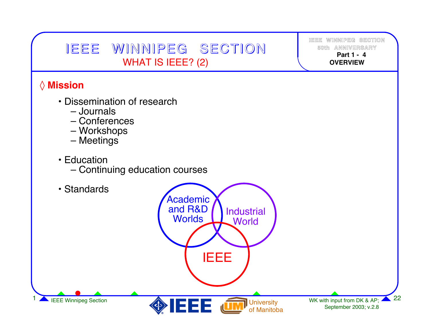## IEEE WINNIPEG SECTION WHAT IS IEEE? (2)

**IEEE WINNIPEG SECTION50th ANNIVERSARY Part 1 -4OVERVIEW**

#### ◊ **Mission**

- Dissemination of research
	- Journals
	- Conferences
	- Workshops
	- Meetings
- Education
	- Continuing education courses

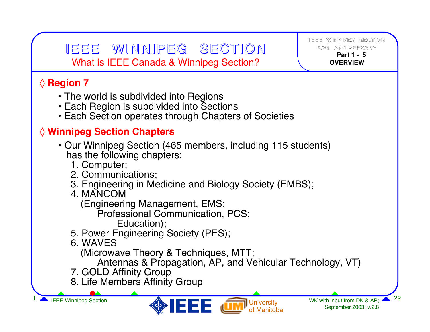### IEEE WINNIPEG SECTION | <sup>50th annivers</sup> What is IEEE Canada & Winnipeg Section?

### ◊ **Region 7**

- The world is subdivided into Regions
- Each Region is subdivided into Sections
- Each Section operates through Chapters of Societies

#### ◊ **Winnipeg Section Chapters**

- Our Winnipeg Section (465 members, including 115 students) has the following chapters:
	- 1. Computer;
	- 2. Communications;
	- 3. Engineering in Medicine and Biology Society (EMBS);
	- 4. MANCOM

(Engineering Management, EMS;

Professional Communication, PCS;

Education);

- 5. Power Engineering Society (PES);
- 6. WAVES

(Microwave Theory & Techniques, MTT;

Antennas & Propagation, AP, and Vehicular Technology, VT)

- 7. GOLD Affinity Group
- 8. Life Members Affinity Group



**IEEE WINNIPEG SECTION**

 **Part 1 -5OVERVIEW**

**NIVERSARY**

**50th AN**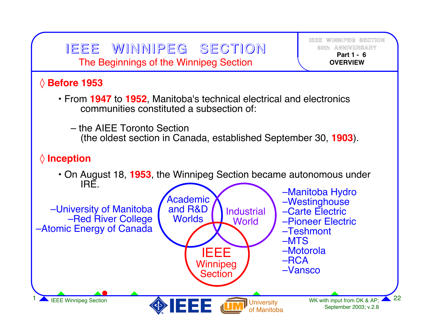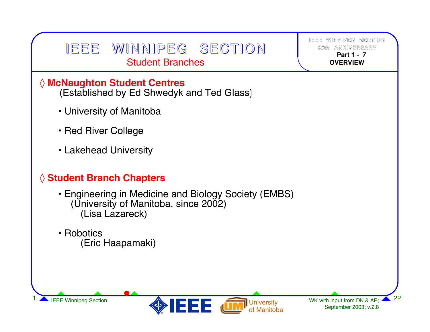## IEEE WINNIPEG SECTION Student Branches

**IEEE WINNIPEG SECTION50th ANNIVERSARY Part 1 -7OVERVIEW**

#### ◊ **McNaughton Student Centres**

(Established by Ed Shwedyk and Ted Glass)

- University of Manitoba
- Red River College
- Lakehead University

#### ◊ **Student Branch Chapters**

- Engineering in Medicine and Biology Society (EMBS) (University of Manitoba, since 2002) (Lisa Lazareck)
- Robotics(Eric Haapamaki)



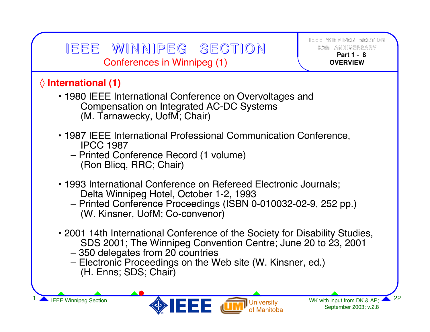# IEEE WINNIPEG SECTION Conferences in Winnipeg (1)

**IEEE WINNIPEG SECTION50th ANNIVERSARY Part 1 -8OVERVIEW**

WK with input from DK & AP; 4 September 2003; v.2.8

#### ◊ **International (1)**

- 1980 IEEE International Conference on Overvoltages and Compensation on Integrated AC-DC Systems (M. Tarnawecky, UofM; Chair)
- 1987 IEEE International Professional Communication Conference, IPCC 1987
	- Printed Conference Record (1 volume) (Ron Blicq, RRC; Chair)
- 1993 International Conference on Refereed Electronic Journals; Delta Winnipeg Hotel, October 1-2, 1993
	- Printed Conference Proceedings (ISBN 0-010032-02-9, 252 pp.) (W. Kinsner, UofM; Co-convenor)
- 2001 14th International Conference of the Society for Disability Studies, SDS 2001; The Winnipeg Convention Centre; June 20 to 23, 2001

**University** of Manitoba

- 350 delegates from 20 countries
- Electronic Proceedings on the Web site (W. Kinsner, ed.) (H. Enns; SDS; Chair)

IEEE Winnipeg Section **1 22**<br>22 September 2003; v.2.8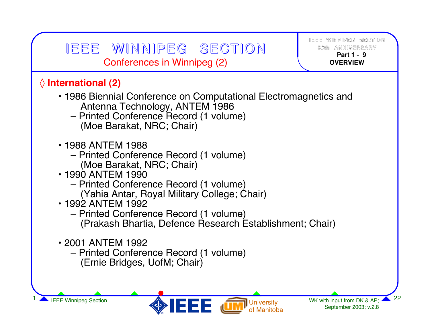| IEEE WINNIPEG SECTION<br>Conferences in Winnipeg (2)                                                                                                                                                                                                                                                                               | IEEE WINNIPEG SECTION<br>50th ANNIVERSARY<br>Part 1 - 9<br><b>OVERVIEW</b> |  |
|------------------------------------------------------------------------------------------------------------------------------------------------------------------------------------------------------------------------------------------------------------------------------------------------------------------------------------|----------------------------------------------------------------------------|--|
| $\Diamond$ International (2)<br>• 1986 Biennial Conference on Computational Electromagnetics and<br>Antenna Technology, ANTEM 1986<br>- Printed Conference Record (1 volume)<br>(Moe Barakat, NRC; Chair)                                                                                                                          |                                                                            |  |
| • 1988 ANTEM 1988<br>- Printed Conference Record (1 volume)<br>(Moe Barakat, NRC; Chair)<br>• 1990 ANTEM 1990<br>- Printed Conference Record (1 volume)<br>(Yahia Antar, Royal Military College; Chair)<br>• 1992 ANTEM 1992<br>- Printed Conference Record (1 volume)<br>(Prakash Bhartia, Defence Research Establishment; Chair) |                                                                            |  |
| • 2001 ANTEM 1992<br>- Printed Conference Record (1 volume)<br>(Ernie Bridges, UofM; Chair)                                                                                                                                                                                                                                        |                                                                            |  |
| <b>IEEE Winnipeg Section</b><br><b>I</b> University                                                                                                                                                                                                                                                                                | 22<br>WK with input from DK & AP;                                          |  |

of Manitoba

September 2003; v.2.8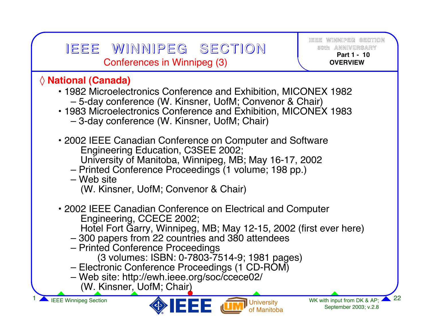### IEEE WINNIPEG SECTION | 50th annivers/ Conferences in Winnipeg (3)

**IEEE WINNIPEG SECTION50th ANNIVERSARY Part 1 -10OVERVIEW**

#### ◊ **National (Canada)**

- 1982 Microelectronics Conference and Exhibition, MICONEX 1982 – 5-day conference (W. Kinsner, UofM; Convenor & Chair)
- 1983 Microelectronics Conference and Exhibition, MICONEX 1983 – 3-day conference (W. Kinsner, UofM; Chair)
- 2002 IEEE Canadian Conference on Computer and Software Engineering Education, C3SEE 2002; University of Manitoba, Winnipeg, MB; May 16-17, 2002
	- Printed Conference Proceedings (1 volume; 198 pp.)
	- Web site(W. Kinsner, UofM; Convenor & Chair)
- 2002 IEEE Canadian Conference on Electrical and Computer Engineering, CCECE 2002;
	- Hotel Fort Garry, Winnipeg, MB; May 12-15, 2002 (first ever here)
	- 300 papers from 22 countries and 380 attendees
	- Printed Conference Proceedings
		- (3 volumes: ISBN: 0-7803-7514-9; 1981 pages)
	- Electronic Conference Proceedings (1 CD-ROM)
	- Web site: http://ewh.ieee.org/soc/ccece02/ (W. Kinsner, UofM; Chair)

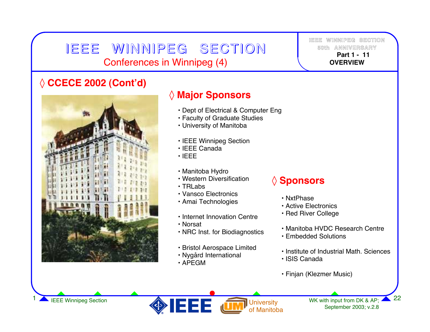### IEEE WINNIPEG SECTION Conferences in Winnipeg (4)

**IEEE WINNIPEG SECTION50th ANNIVERSARY Part 1 -11OVERVIEW**

#### ◊ **CCECE 2002 (Cont'd)**



#### ◊ **Major Sponsors**

- Dept of Electrical & Computer Eng
- Faculty of Graduate Studies
- University of Manitoba
- IEEE Winnipeg Section
- IEEE Canada
- IEEE
- Manitoba Hydro
- Western Diversification
- TRLabs
- Vansco Electronics
- Amai Technologies
- Internet Innovation Centre
- Norsat
- NRC Inst. for Biodiagnostics
- Bristol Aerospace Limited
- Nygård International
- APEGM

#### ◊ **Sponsors**

- NxtPhase
- Active Electronics
- Red River College
- Manitoba HVDC Research Centre
- Embedded Solutions
- Institute of Industrial Math. Sciences
- ISIS Canada
- Finjan (Klezmer Music)

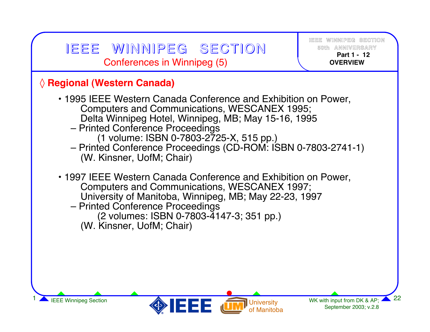#### **University** WK with input from DK & AP;  $\blacktriangle$ September 2003; v.2.8 IEEE Winnipeg Section **1 22 IEEE IEEE IEEE IEEE IEEE IEEE IEEE IEEE IEEE IEEE IEEE IEEE IEEE IEEE IEEE IEEE IEEE IEEE IEEE IEEE IEEE IEEE IEEE IEEE IEEE IEEE IEEE IEE IEEE WINNIPEG SECTION50th ANNIVERSARY Part 1 -12OVERVIEW**◊ **Regional (Western Canada)** • 1995 IEEE Western Canada Conference and Exhibition on Power, Computers and Communications, WESCANEX 1995; Delta Winnipeg Hotel, Winnipeg, MB; May 15-16, 1995 – Printed Conference Proceedings (1 volume: ISBN 0-7803-2725-X, 515 pp.) – Printed Conference Proceedings (CD-ROM: ISBN 0-7803-2741-1) (W. Kinsner, UofM; Chair) • 1997 IEEE Western Canada Conference and Exhibition on Power, Computers and Communications, WESCANEX 1997; University of Manitoba, Winnipeg, MB; May 22-23, 1997 – Printed Conference Proceedings (2 volumes: ISBN 0-7803-4147-3; 351 pp.) (W. Kinsner, UofM; Chair) IEEE WINNIPEG SECTION Conferences in Winnipeg (5)

of Manitoba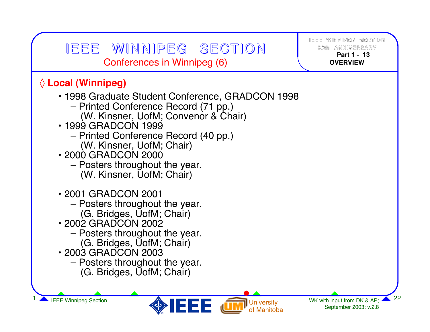| $\Diamond$ Local (Winnipeg)<br>• 1998 Graduate Student Conference, GRADCON 1998<br>- Printed Conference Record (71 pp.)<br>(W. Kinsner, UofM; Convenor & Chair)<br>• 1999 GRADCON 1999<br>- Printed Conference Record (40 pp.)<br>(W. Kinsner, UofM; Chair)<br>• 2000 GRADCON 2000<br>- Posters throughout the year.<br>(W. Kinsner, UofM; Chair)<br>• 2001 GRADCON 2001 | IEEE WINNIPEG SECTION<br>Conferences in Winnipeg (6) | IEEE WINNIPEG SECTION<br>50th ANNIVERSARY<br>Part 1 - 13<br><b>OVERVIEW</b> |
|--------------------------------------------------------------------------------------------------------------------------------------------------------------------------------------------------------------------------------------------------------------------------------------------------------------------------------------------------------------------------|------------------------------------------------------|-----------------------------------------------------------------------------|
|                                                                                                                                                                                                                                                                                                                                                                          |                                                      |                                                                             |
| (G. Bridges, UofM; Chair)<br>• 2002 GRADCON 2002<br>- Posters throughout the year.<br>(G. Bridges, UofM; Chair)<br>• 2003 GRADCON 2003<br>- Posters throughout the year.<br>(G. Bridges, UofM; Chair)                                                                                                                                                                    | - Posters throughout the year.                       |                                                                             |

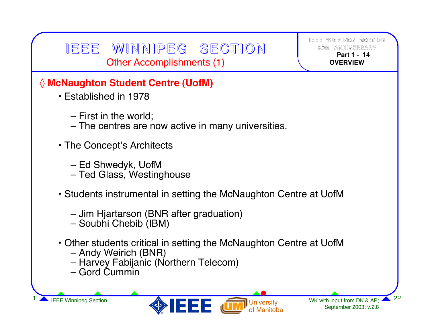### IEEE WINNIPEG SECTION Other Accomplishments (1)

**IEEE WINNIPEG SECTION50th ANNIVERSARY Part 1 -14OVERVIEW**

#### ◊ **McNaughton Student Centre (UofM)**

- Established in 1978
	- First in the world;
	- The centres are now active in many universities.
- The Concept's Architects
	- Ed Shwedyk, UofM
	- Ted Glass, Westinghouse
- Students instrumental in setting the McNaughton Centre at UofM
	- Jim Hjartarson (BNR after graduation)
	- Soubhi Chebib (IBM)
- Other students critical in setting the McNaughton Centre at UofM
	- Andy Weirich (BNR)
	- Harvey Fabijanic (Northern Telecom)
	- Gord Cummin

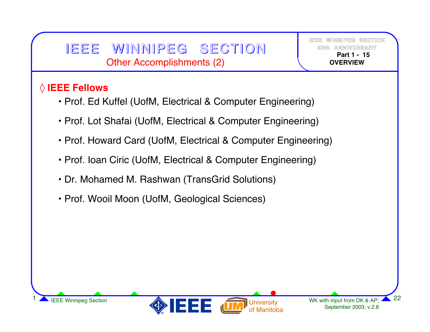### IEEE WINNIPEG SECTION Other Accomplishments (2)

**IEEE WINNIPEG SECTION50th ANNIVERSARY Part 1 -15OVERVIEW**

#### ◊ **IEEE Fellows**

- Prof. Ed Kuffel (UofM, Electrical & Computer Engineering)
- Prof. Lot Shafai (UofM, Electrical & Computer Engineering)
- Prof. Howard Card (UofM, Electrical & Computer Engineering)
- Prof. Ioan Ciric (UofM, Electrical & Computer Engineering)
- Dr. Mohamed M. Rashwan (TransGrid Solutions)
- Prof. Wooil Moon (UofM, Geological Sciences)

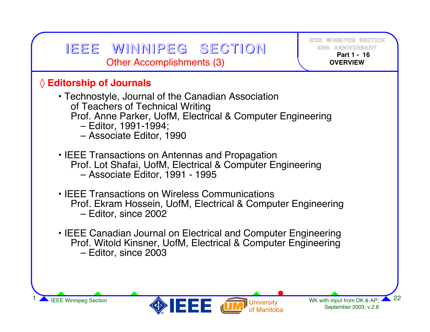#### **University** WK with input from DK & AP; 4 IEEE Winnipeg Section **1 22**<br>IEEE Winnipeg Section **1 22**<br>September 2003; v.2.8 **IEEE WINNIPEG SECTION50th ANNIVERSARY Part 1 -16OVERVIEW**IEEE WINNIPEG SECTION Other Accomplishments (3) ◊ **Editorship of Journals** • Technostyle, Journal of the Canadian Association of Teachers of Technical Writing Prof. Anne Parker, UofM, Electrical & Computer Engineering – Editor, 1991-1994; – Associate Editor, 1990 • IEEE Transactions on Antennas and Propagation Prof. Lot Shafai, UofM, Electrical & Computer Engineering – Associate Editor, 1991 - 1995 • IEEE Transactions on Wireless CommunicationsProf. Ekram Hossein, UofM, Electrical & Computer Engineering – Editor, since 2002 • IEEE Canadian Journal on Electrical and Computer Engineering Prof. Witold Kinsner, UofM, Electrical & Computer Engineering – Editor, since 2003

September 2003; v.2.8

of Manitoba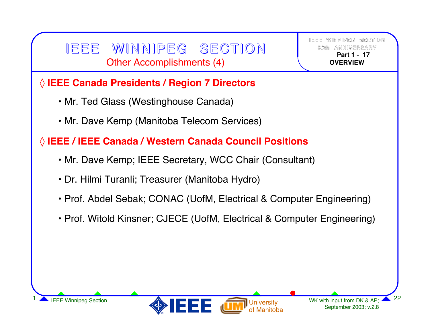### IEEE WINNIPEG SECTION Other Accomplishments (4)

**IEEE WINNIPEG SECTION50th ANNIVERSARY Part 1 -17OVERVIEW**

#### ◊ **IEEE Canada Presidents / Region 7 Directors**

- Mr. Ted Glass (Westinghouse Canada)
- Mr. Dave Kemp (Manitoba Telecom Services)

#### ◊ **IEEE / IEEE Canada / Western Canada Council Positions**

- Mr. Dave Kemp; IEEE Secretary, WCC Chair (Consultant)
- Dr. Hilmi Turanli; Treasurer (Manitoba Hydro)
- Prof. Abdel Sebak; CONAC (UofM, Electrical & Computer Engineering)
- Prof. Witold Kinsner; CJECE (UofM, Electrical & Computer Engineering)

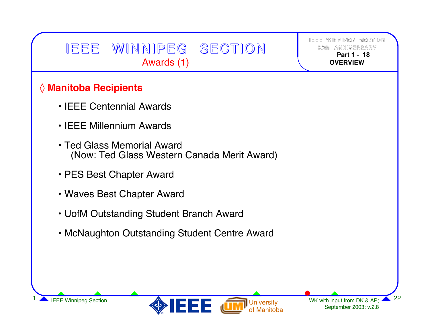# IEEE WINNIPEG SECTION Awards (1)

**IEEE WINNIPEG SECTION50th Part 1 -18OVERVIEW**

#### ◊ **Manitoba Recipients**

- IEEE Centennial Awards
- IEEE Millennium Awards
- Ted Glass Memorial Award(Now: Ted Glass Western Canada Merit Award)
- PES Best Chapter Award
- Waves Best Chapter Award
- UofM Outstanding Student Branch Award
- McNaughton Outstanding Student Centre Award



September 2003; v.2.8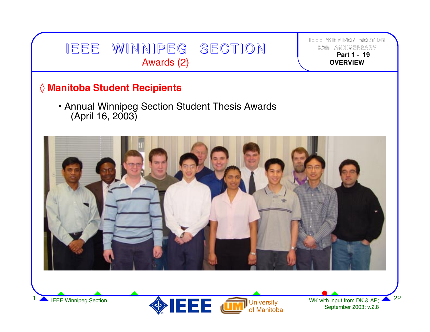



September 2003; v.2.8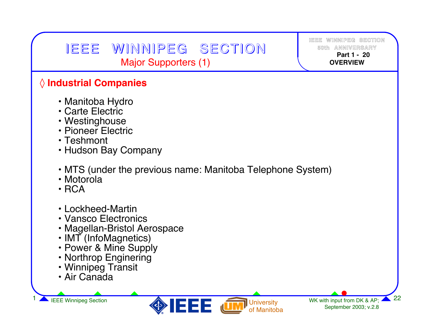## IEEE WINNIPEG SECTION Major Supporters (1)

**IEEE WINNIPEG SECTION50th ANNIVERSARY Part 1 -20OVERVIEW**

#### ◊ **Industrial Companies**

- Manitoba Hydro
- Carte Electric
- Westinghouse
- Pioneer Electric
- Teshmont
- Hudson Bay Company
- MTS (under the previous name: Manitoba Telephone System)
- Motorola
- RCA
- Lockheed-Martin
- Vansco Electronics
- Magellan-Bristol Aerospace
- IMT (InfoMagnetics)
- Power & Mine Supply
- Northrop Enginering
- Winnipeg Transit
- Air Canada

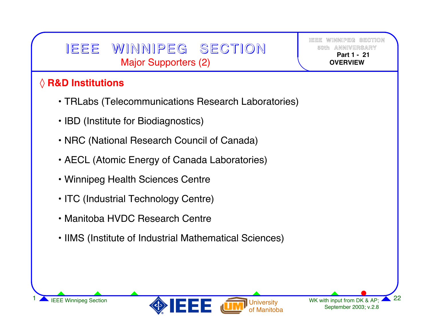# IEEE WINNIPEG SECTION Major Supporters (2)

**IEEE WINNIPEG SECTION50th ANNIVERSARY Part 1 -21OVERVIEW**

#### ◊ **R&D Institutions**

- TRLabs (Telecommunications Research Laboratories)
- IBD (Institute for Biodiagnostics)
- NRC (National Research Council of Canada)
- AECL (Atomic Energy of Canada Laboratories)
- Winnipeg Health Sciences Centre
- ITC (Industrial Technology Centre)
- Manitoba HVDC Research Centre
- IIMS (Institute of Industrial Mathematical Sciences)

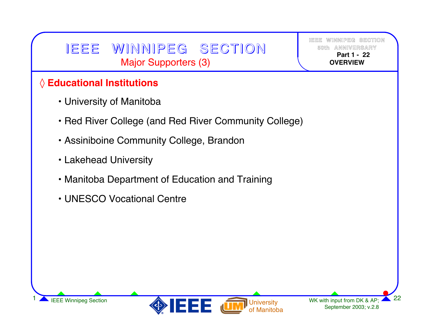# IEEE WINNIPEG SECTION Major Supporters (3)

**IEEE WINNIPEG SECTION50th Part 1 -22OVERVIEW**

#### ◊ **Educational Institutions**

- University of Manitoba
- Red River College (and Red River Community College)
- Assiniboine Community College, Brandon
- Lakehead University
- Manitoba Department of Education and Training
- UNESCO Vocational Centre

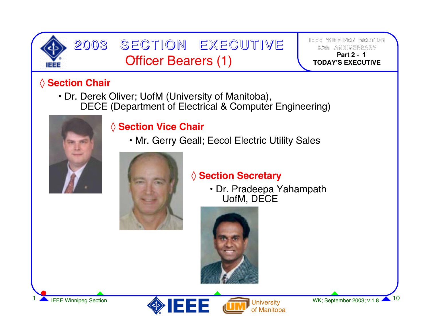

# 2003 SECTION EXECUTIVE Officer Bearers (1) **<sup>1</sup>**

**IEEE WINNIPEG SECTION50th ANNIVERSARY Part 2 -TODAY'S EXECUTIVE**

#### ◊ **Section Chair**

• Dr. Derek Oliver; UofM (University of Manitoba), DECE (Department of Electrical & Computer Engineering)



#### ◊ **Section Vice Chair**

• Mr. Gerry Geall; Eecol Electric Utility Sales



#### ◊ **Section Secretary**

• Dr. Pradeepa Yahampath UofM, DECE





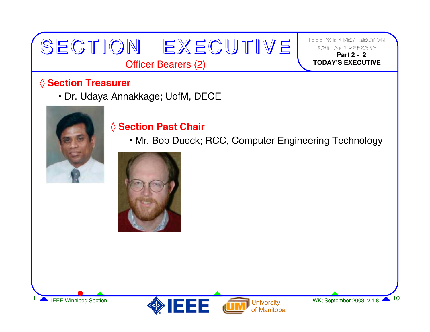# ◊ **Section Treasurer**

• Dr. Udaya Annakkage; UofM, DECE



#### ◊ **Section Past Chair**

SECTION EXECUTIVE

Officer Bearers (2)

• Mr. Bob Dueck; RCC, Computer Engineering Technology







**IEEE WINNIPEG SECTION50th ANNIVERSARY Part 2 -2TODAY'S EXECUTIVE**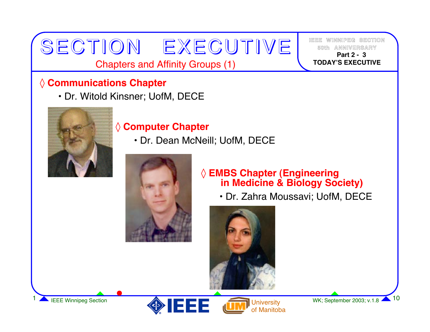Chapters and Affinity Groups (1)

SECTION EXECUTIVE

#### ◊ **Communications Chapter**

• Dr. Witold Kinsner; UofM, DECE



#### ◊ **Computer Chapter**

• Dr. Dean McNeill; UofM, DECE



#### ◊ **EMBS Chapter (Engineering in Medicine & Biology Society)**

• Dr. Zahra Moussavi; UofM, DECE







**IEEE WINNIPEG SECTION50th ANNIVERSARY Part 2 -3TODAY'S EXECUTIVE**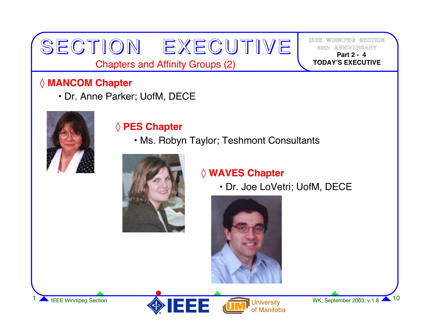Chapters and Affinity Groups (2)

SECTION EXECUTIVE

#### ◊ **MANCOM Chapter**

• Dr. Anne Parker; UofM, DECE



#### ◊ **PES Chapter**

• Ms. Robyn Taylor; Teshmont Consultants



#### ◊ **WAVES Chapter**

• Dr. Joe LoVetri; UofM, DECE







**IEEE WINNIPEG SECTION50th ANNIVERSARY Part 2 -4TODAY'S EXECUTIVE**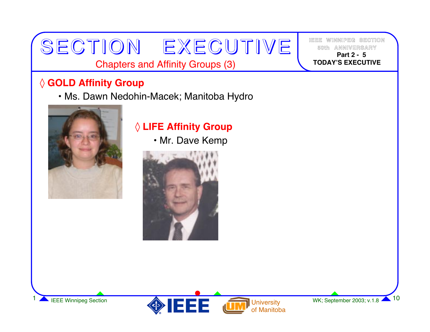#### Chapters and Affinity Groups (3)

SECTION EXECUTIVE

#### ◊ **GOLD Affinity Group**

• Ms. Dawn Nedohin-Macek; Manitoba Hydro



### ◊ **LIFE Affinity Group**

• Mr. Dave Kemp





**IEEE WINNIPEG SECTION50th ANNIVERSARY Part 2 -5TODAY'S EXECUTIVE**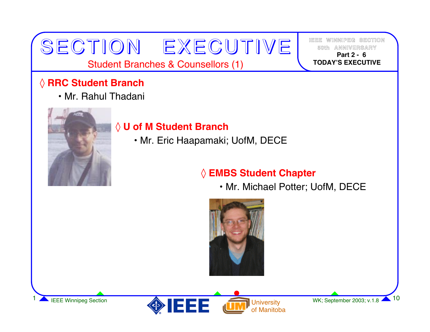#### Student Branches & Counsellors (1)

SECTION EXECUTIVE

#### ◊ **RRC Student Branch**

• Mr. Rahul Thadani



#### ◊ **U of M Student Branch**

• Mr. Eric Haapamaki; UofM, DECE

#### ◊ **EMBS Student Chapter**

• Mr. Michael Potter; UofM, DECE





**IEEE WINNIPEG SECTION50th ANNIVERSARY Part 2 -6TODAY'S EXECUTIVE**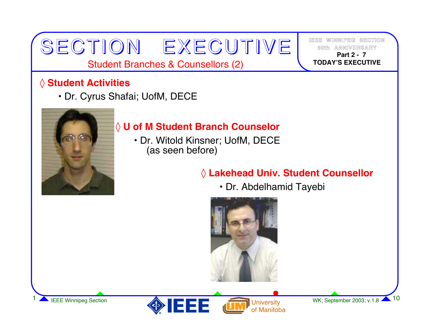Student Branches & Counsellors (2)

SECTION EXECUTIVE

#### ◊ **Student Activities**

• Dr. Cyrus Shafai; UofM, DECE



#### ◊ **U of M Student Branch Counselor**

• Dr. Witold Kinsner; UofM, DECE (as seen before)

#### ◊ **Lakehead Univ. Student Counsellor**

• Dr. Abdelhamid Tayebi







**IEEE WINNIPEG SECTION50th ANNIVERSARY Part 2 -7TODAY'S EXECUTIVE**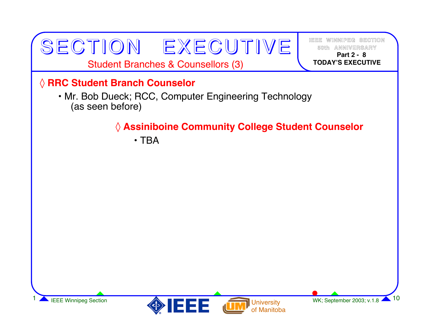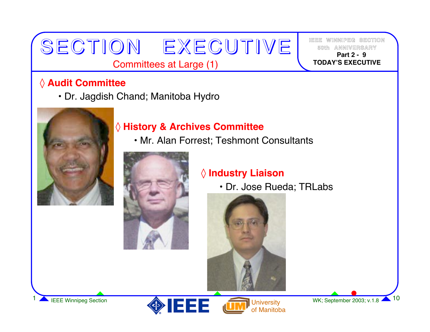#### Committees at Large (1)

SECTION EXECUTIVE

#### ◊ **Audit Committee**

• Dr. Jagdish Chand; Manitoba Hydro



#### ◊ **History & Archives Committee**

• Mr. Alan Forrest; Teshmont Consultants



#### ◊ **Industry Liaison**

• Dr. Jose Rueda; TRLabs







**IEEE WINNIPEG SECTION50th ANNIVERSARY Part 2 -9TODAY'S EXECUTIVE**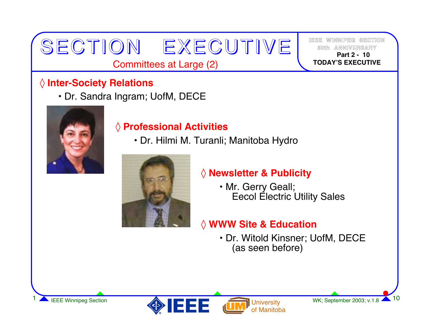#### Committees at Large (2)

SECTION EXECUTIVE

#### ◊ **Inter-Society Relations**

• Dr. Sandra Ingram; UofM, DECE



#### ◊ **Professional Activities**

• Dr. Hilmi M. Turanli; Manitoba Hydro



#### ◊ **Newsletter & Publicity**

• Mr. Gerry Geall; Eecol Electric Utility Sales

#### ◊ **WWW Site & Education**

• Dr. Witold Kinsner; UofM, DECE (as seen before)



**IEEE WINNIPEG SECTION**

 **Part 2 -10TODAY'S EXECUTIVE**

**50th**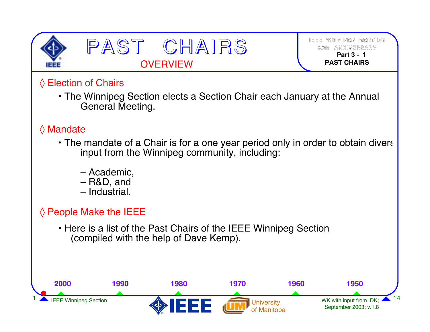

PAST CHAIRS **OVERVIEW** 

**IEEE WINNIPEG SECTION50th ANNIVERSARY Part 3 -1PAST CHAIRS**

#### ◊ Election of Chairs

• The Winnipeg Section elects a Section Chair each January at the Annual General Meeting.

#### ◊ Mandate

- The mandate of a Chair is for a one year period only in order to obtain divers input from the Winnipeg community, including:
	- Academic,
	- R&D, and
	- Industrial.

#### $\Diamond$  People Make the IEEE

• Here is a list of the Past Chairs of the IEEE Winnipeg Section (compiled with the help of Dave Kemp).

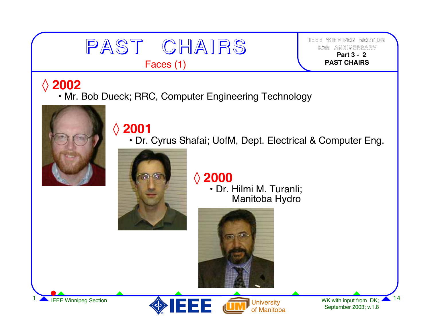

**IEEE WINNIPEG SECTION50th ANNIVERSARY Part 3 -2PAST CHAIRS**

# ◊**<sup>2002</sup>**

• Mr. Bob Dueck; RRC, Computer Engineering Technology



# ◊**<sup>2001</sup>**

• Dr. Cyrus Shafai; UofM, Dept. Electrical & Computer Eng.



◊**<sup>2000</sup>**

• Dr. Hilmi M. Turanli; Manitoba Hydro





WK with input from DK; September 2003; v.1.8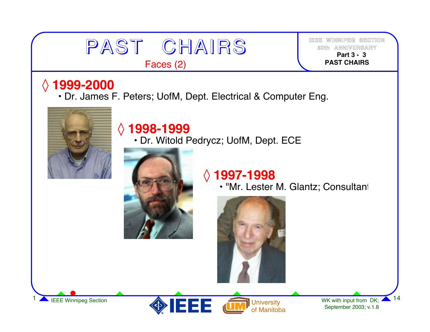

Faces (2)

**IEEE WINNIPEG SECTION50th ANNIVERSARY Part 3 -3PAST CHAIRS**

# ◊ **1999-2000**

• Dr. James F. Peters; UofM, Dept. Electrical & Computer Eng.



# ◊ **1998-1999**

• Dr. Witold Pedrycz; UofM, Dept. ECE



# ◊ **1997-1998**

• "Mr. Lester M. Glantz; Consultant





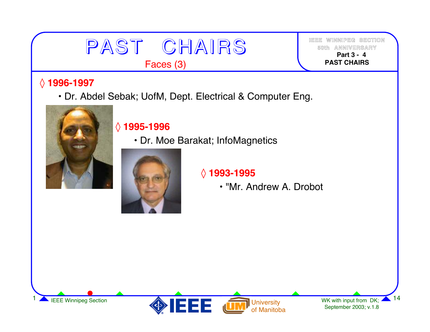

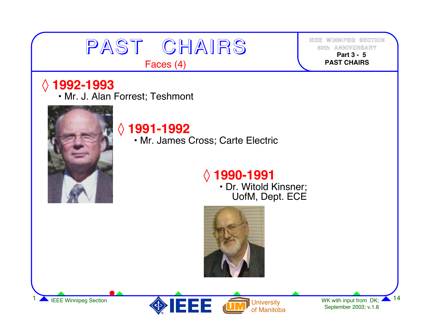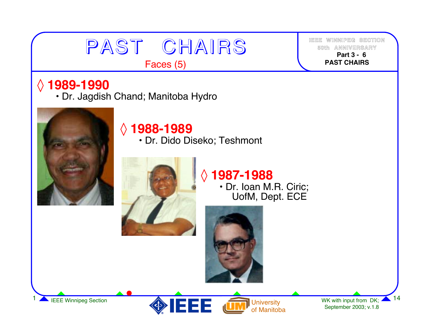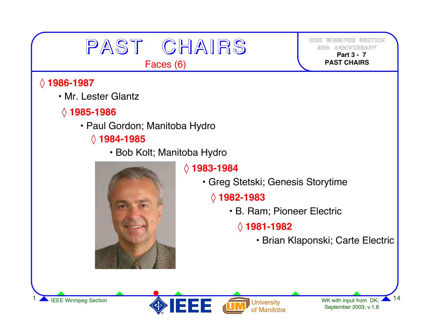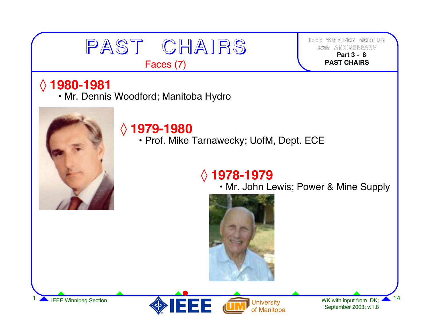# PAST CHAIRS Faces (7)

**IEEE WINNIPEG SECTION50th ANNIVERSARY Part 3 -8PAST CHAIRS**

# ◊ **1980-1981**

• Mr. Dennis Woodford; Manitoba Hydro



# ◊ **1979-1980**

• Prof. Mike Tarnawecky; UofM, Dept. ECE

# ◊ **1978-1979**

• Mr. John Lewis; Power & Mine Supply



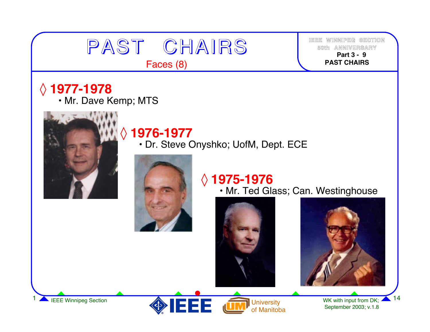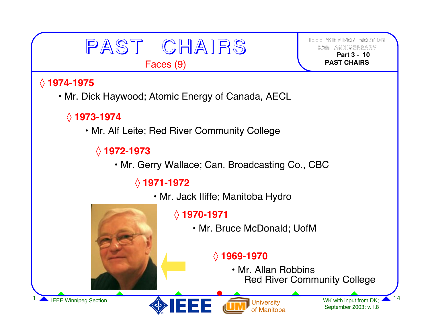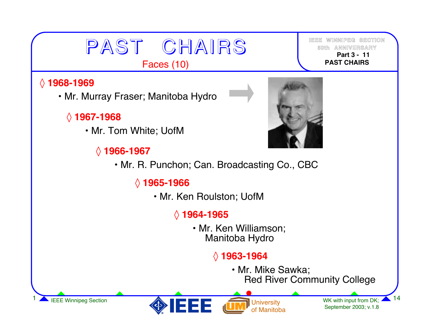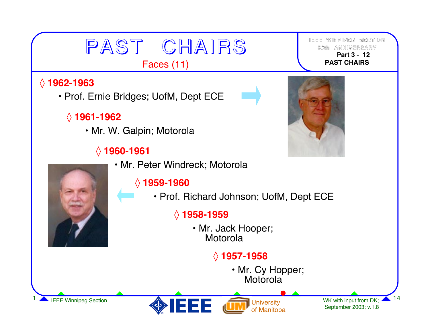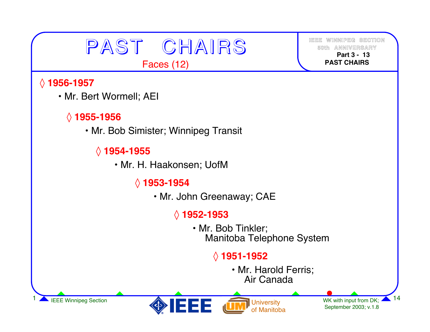